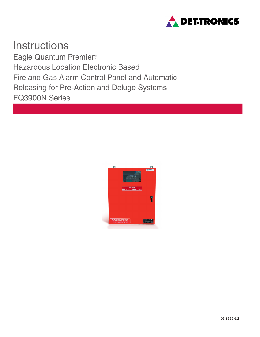

**Instructions** Eagle Quantum Premier® Hazardous Location Electronic Based Fire and Gas Alarm Control Panel and Automatic Releasing for Pre-Action and Deluge Systems EQ3900N Series

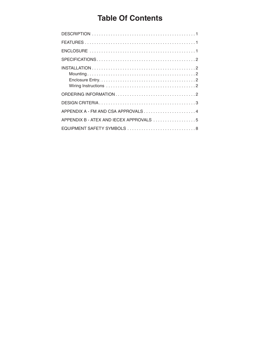# **Table Of Contents**

| APPENDIX B - ATEX AND IECEX APPROVALS 5 |
|-----------------------------------------|
| EQUIPMENT SAFETY SYMBOLS 8              |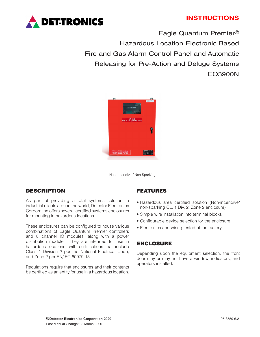# **INSTRUCTIONS**



Eagle Quantum Premier® Hazardous Location Electronic Based Fire and Gas Alarm Control Panel and Automatic Releasing for Pre-Action and Deluge Systems EQ3900N



Non-Incendive / Non-Sparking

# DESCRIPTION

As part of providing a total systems solution to industrial clients around the world, Detector Electronics Corporation offers several certified systems enclosures for mounting in hazardous locations.

These enclosures can be configured to house various combinations of Eagle Quantum Premier controllers and 8 channel IO modules, along with a power distribution module. They are intended for use in hazardous locations, with certifications that include Class 1 Division 2 per the National Electrical Code, and Zone 2 per EN/IEC 60079-15.

Regulations require that enclosures and their contents be certified as an entity for use in a hazardous location.

# FEATURES

- Hazardous area certified solution (Non-incendive/ non-sparking CL. 1 Div. 2, Zone 2 enclosure)
- Simple wire installation into terminal blocks
- Configurable device selection for the enclosure
- Electronics and wiring tested at the factory.

## ENCLOSURE

Depending upon the equipment selection, the front door may or may not have a window, indicators, and operators installed.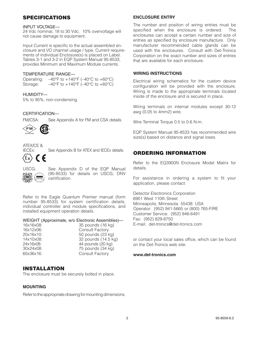# SPECIFICATIONS

#### INPUT VOLTAGE—

24 Vdc nominal, 18 to 30 Vdc. 10% overvoltage will not cause damage to equipment.

Input Current is specific to the actual assembled enclosure and I/O channel usage / type. Current requirements of individual Enclosure(s) is placed on Label. Tables 3-1 and 3-2 in EQP System Manual 95-8533, provides Minimum and Maximum Module currents.

#### TEMPERATURE RANGE—

Operating:  $-40^{\circ}$ F to  $+140^{\circ}$ F ( $-40^{\circ}$ C to  $+60^{\circ}$ C) Storage:  $-40^{\circ}$ F to  $+140^{\circ}$ F ( $-40^{\circ}$ C to  $+60^{\circ}$ C)

HUMIDITY— 5% to 95%, non-condensing.

### CERTIFICATION—

FM/CSA: See Appendix A for FM and CSA details.



# ATEX/CE &<br>IECEx:



See Appendix B for ATEX and IECEx details.



USCG: See Appendix D of the EQP Manual (95-8533) for details on USCG, DNV certification.

Refer to the Eagle Quantum Premier manual (form number 95-8533) for system certification details, individual controller and module specifications, and installed equipment operation details.

WEIGHT (Approximate, w/o Electronic Assemblies)—

| TOX TOXU8: |
|------------|
| 16x12x06:  |
| 20x16x10:  |
| 14x10x08:  |
| 24x16x08:  |
| 30x24x08:  |
| 60x36x16:  |

#### 35 pounds (16 kg) Consult Factory 50 pounds (23 kg) 32 pounds (14.5 kg) 44 pounds (20 kg)  $75$  pounds  $(34$  kg) Consult Factory

# INSTALLATION

The enclosure must be securely bolted in place.

### **MOUNTING**

Refer to the appropriate drawing for mounting dimensions.

#### **ENCLOSURE ENTRY**

The number and position of wiring entries must be specified when the enclosure is ordered. The enclosures can accept a certain number and size of entries as specified by enclosure manufacture. Only manufacturer recommended cable glands can be used with the enclosures. Consult with Det-Tronics Corporation on the exact number and sizes of entries that are available for each enclosure.

#### **WIRING INSTRUCTIONS**

Electrical wiring schematics for the custom device configuration will be provided with the enclosure. Wiring is made to the appropriate terminals located inside of the enclosure and is secured in place.

Wiring terminals on internal modules except 30-12 awg (0.05 to 4mm2) wire.

Wire Terminal Torque 0.5 to 0.6 N-m.

EQP System Manual 95-8533 has recommended wire size(s) based on distance and signal loses.

# ORDERING INFORMATION

Refer to the EQ3900N Enclosure Model Matrix for details.

For assistance in ordering a system to fit your application, please contact:

Detector Electronics Corporation 6901 West 110th Street Minneapolis, Minnesota 55438 USA Operator: (952) 941-5665 or (800) 765-FIRE Customer Service: (952) 946-6491 Fax: (952) 829-8750 E-mail: det-tronics@det-tronics.com

or contact your local sales office, which can be found on the Det-Tronics web site:

#### **www.det-tronics.com**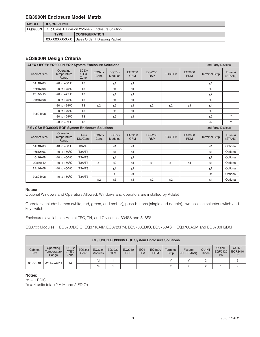# **EQ3900N Enclosure Model Matrix**

| <b>MODEL</b> | <b>IDESCRIPTION</b> |                                                            |  |  |  |  |  |
|--------------|---------------------|------------------------------------------------------------|--|--|--|--|--|
|              |                     | EQ3900N EQP. Class 1. Division 2/Zone 2 Enclosure Solution |  |  |  |  |  |
|              | <b>TYPE</b>         | <b>CONFIGURATION</b>                                       |  |  |  |  |  |
|              |                     | <b>XXXXXXXX-XXX</b> Sales Order # Drawing Packet           |  |  |  |  |  |

# **EQ3900N Design Criteria**

| ATEX / IECEx EQ3900N EQP System Enclosure Solutions |                                                 |                                            |                 |                          |                      |                      |          | 3rd Party Devices    |                       |                    |
|-----------------------------------------------------|-------------------------------------------------|--------------------------------------------|-----------------|--------------------------|----------------------|----------------------|----------|----------------------|-----------------------|--------------------|
| <b>Cabinet Size</b>                                 | Operating<br>Temperature<br>Range               | IECE <sub>x</sub> /<br><b>ATEX</b><br>Zone | EQ3xxx<br>Cont. | EQ37xx<br><b>Modules</b> | EQ2230<br><b>GFM</b> | EQ2230<br><b>RSP</b> | EQ3 LTM  | EQ3800<br><b>PDM</b> | <b>Terminal Strip</b> | Fuse(s)<br>(STAHL) |
| 14x10x08                                            | $-20$ to $+60^{\circ}$ C                        | T <sub>3</sub>                             |                 | $\leq 1$                 | $\leq 1$             |                      |          |                      | $\leq 1$              |                    |
| 16x16x08                                            | -20 to $+75^{\circ}$ C                          | T <sub>3</sub>                             |                 | $\leq 1$                 | $\leq 1$             |                      |          |                      | $\leq$ 2              |                    |
| 20x16x10                                            | $-20$ to $+75^{\circ}$ C                        | T <sub>3</sub>                             |                 | $\leq 1$                 | $\leq 1$             |                      |          |                      | $\leq$ 2              |                    |
| 24x16x08                                            | $-20$ to $+75^{\circ}$ C                        | T <sub>3</sub>                             |                 | $\leq 1$                 | $\leq 1$             |                      |          |                      | $\leq$ 2              |                    |
|                                                     | $-20$ to $+29^{\circ}$ C                        | T <sub>3</sub>                             | $\leq$ 2        | $\leq$ 2                 | $\leq 1$             | $\leq$ 2             | $\leq$ 2 | $\leq 1$             | $\leq 1$              |                    |
| 30x24x08                                            | $-20$ to $+70^{\circ}$ C                        | T <sub>3</sub>                             |                 | $\leq 6$                 | $\leq 1$             |                      |          |                      | $\leq$ 2              |                    |
|                                                     | $-20$ to $+59^{\circ}$ C                        | T <sub>3</sub>                             |                 | $\leq 6$                 | $\leq 1$             |                      |          |                      | $\leq$ 2              | Y                  |
|                                                     | $-20$ to $+59^{\circ}$ C                        | T <sub>3</sub>                             |                 |                          |                      |                      |          |                      | $\leq$ 2              | Y                  |
|                                                     | FM / CSA EQ3900N EQP System Enclosure Solutions |                                            |                 |                          |                      |                      |          | 3rd Party Devices    |                       |                    |
| <b>Cabinet Size</b>                                 | Operating<br>Temperature<br>Range               | Class<br>Div./Zone                         | EQ3xxx<br>Cont. | EQ37xx<br><b>Modules</b> | EQ2230<br><b>GFM</b> | EQ2230<br><b>RSP</b> | EQ3 LTM  | EQ3800<br><b>PDM</b> | <b>Terminal Strip</b> | Fuse(s)<br>(STAHL) |
| 14x10x08                                            | $-40$ to $+60^{\circ}$ C                        | T3A/T3                                     |                 | $\leq 1$                 | $\leq 1$             |                      |          |                      | $\leq 1$              | Optional           |
| 16x12x06                                            | $-40$ to $+60^{\circ}$ C                        | T3A/T3                                     |                 | $\leq 1$                 | $\leq 1$             |                      |          |                      | $\leq 1$              | Optional           |
| 16x16x08                                            | $-40$ to $+60^{\circ}$ C                        | T3A/T3                                     |                 | $\leq 1$                 | $\leq 1$             |                      |          |                      | $\leq$ 2              | Optional           |
| 20x16x10                                            | $-40$ to $+60^{\circ}$ C                        | T3A/T3                                     | $\leq 1$        | $\leq$ 2                 | $\leq 1$             | $\leq 1$             | $\leq 1$ | $\leq 1$             | $\leq 1$              | Optional           |
| 24x16x08                                            | $-40$ to $+60^{\circ}$ C                        | T3A/T3                                     |                 | $\leq 1$                 | $\leq 1$             |                      |          |                      | $\leq$ 2              | Optional           |
| 30x24x08                                            |                                                 |                                            |                 | $\leq 6$                 | $\leq 1$             |                      |          |                      | $\leq 1$              | Optional           |
|                                                     | $-40$ to $+60^{\circ}$ C                        | T3A/T3                                     | $\leq$ 2        | $\leq 3$                 | $\leq 1$             | $\leq$ 2             | $\leq$ 2 |                      | $\leq 1$              | Optional           |

#### **Notes:**

Optional Windows and Operators Allowed: Windows and operators are installed by Adalet

Operators include: Lamps (white, red, green, and amber), push-buttons (single and double), two position selector switch and key switch

Enclosures available in Adalet TSC, TN, and CN series. 304SS and 316SS

EQ37xx Modules = EQ3700DCIO, EQ3710AIM,EQ3720RM, EQ3730EDIO, EQ3750ASH, EQ3760ASM and EQ3780HSDM

|                        | <b>FM / USCG EQ3900N EQP System Enclosure Solutions</b> |                                            |                 |                          |                      |                      |                        |                      |                          |                      |                              |                               |                                      |
|------------------------|---------------------------------------------------------|--------------------------------------------|-----------------|--------------------------|----------------------|----------------------|------------------------|----------------------|--------------------------|----------------------|------------------------------|-------------------------------|--------------------------------------|
| Cabinet<br><b>Size</b> | Operating<br>Temperature<br>Range                       | IECE <sub>x</sub> /<br><b>ATEX</b><br>Zone | EQ3xxx<br>Cont. | EQ37xx<br><b>Modules</b> | EQ2230<br><b>GFM</b> | EQ2230<br><b>RSP</b> | EQ <sub>3</sub><br>LTM | EQ3800<br><b>PDM</b> | Terminal<br><b>Strip</b> | Fuse(s)<br>(BUSSMAN) | <b>QUINT</b><br><b>Diode</b> | <b>QUINT</b><br>EQP2120<br>PS | <b>QUINT</b><br>EQP2410<br><b>PS</b> |
| 60x36x16               |                                                         | T <sub>4</sub>                             |                 | $h^*$                    |                      |                      |                        |                      | $\checkmark$             |                      | C                            |                               |                                      |
|                        |                                                         | $-20$ to $+49^{\circ}$ C                   |                 | $*$ e                    |                      |                      |                        |                      | $\checkmark$             |                      | C                            |                               |                                      |

#### **Notes:**

 $*d = 1$  EDIO

 $*e = 4$  units total (2 AIM and 2 EDIO)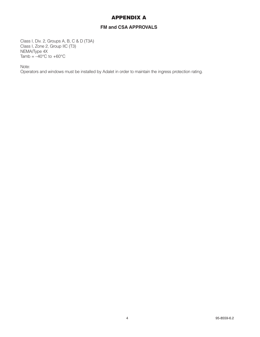# APPENDIX A

# **FM and CSA APPROVALS**

Class I, Div. 2, Groups A, B, C & D (T3A) Class I, Zone 2, Group IIC (T3) NEMA/Type 4X Tamb  $= -40^{\circ}$ C to  $+60^{\circ}$ C

Note:

Operators and windows must be installed by Adalet in order to maintain the ingress protection rating.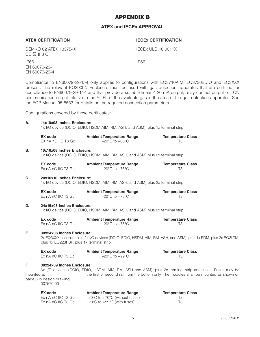# APPENDIX B

# **ATEX and IECEx APPROVAL**

## **ATEX CERTIFICATION IECEx CERTIFICATION**

EN 60079-29-1 EN 60079-29-4

DEMKO 02 ATEX 133754X IECEx ULD.10.0011X **CE**  $\textcircled{\tiny{\textcircled{\tiny{E}}}}$  **II 3 G** 

IP66 IP66

Compliance to EN60079-29-1/-4 only applies to configurations with EQ3710AIM, EQ3730EDIO and EQ3XXX present. The relevant EQ3900N Enclosure must be used with gas detection apparatus that are certified for compliance to EN60079-29-1/-4 and that provide a suitable linear 4-20 mA output, relay contact output or LON communication output relative to the %LFL of the available gas in the area of the gas detection apparatus. See the EQP Manual 95-8533 for details on the required connection parameters.

Configurations covered by these certificates:

| Α.               | 14x10x08 Inches Enclosure:<br>1x I/O device (DCIO, EDIO, HSDM AIM, RM, ASH, and ASM), plus 1x terminal strip |                                                                                         |                                                                                                                                                                                                    |  |  |  |  |  |  |  |
|------------------|--------------------------------------------------------------------------------------------------------------|-----------------------------------------------------------------------------------------|----------------------------------------------------------------------------------------------------------------------------------------------------------------------------------------------------|--|--|--|--|--|--|--|
|                  | <b>EX</b> code<br>EX nA nC IIC T3 Gc                                                                         | <b>Ambient Temperature Range</b><br>$-20^{\circ}$ C to $+60^{\circ}$ C                  | <b>Temperature Class</b><br>T <sub>3</sub>                                                                                                                                                         |  |  |  |  |  |  |  |
| <b>B.</b>        | 16x16x08 Inches Enclosure:                                                                                   | 1x I/O device (DCIO, EDIO, HSDM, AIM, RM, ASH, and ASM) plus 2x terminal strip          |                                                                                                                                                                                                    |  |  |  |  |  |  |  |
|                  | <b>EX</b> code<br>Ex nA nC IIC T3 Gc                                                                         | <b>Ambient Temperature Range</b><br>$-20^{\circ}$ C to $+75^{\circ}$ C                  | <b>Temperature Class</b><br>T <sub>3</sub>                                                                                                                                                         |  |  |  |  |  |  |  |
| C.               | 20x16x10 Inches Enclosure:                                                                                   | 1x I/O device (DCIO, EDIO, HSDM, AIM, RM, ASH, and ASM) plus 2x terminal strip          |                                                                                                                                                                                                    |  |  |  |  |  |  |  |
|                  | <b>EX</b> code<br>Ex nA nC IIC T3 Gc                                                                         | <b>Ambient Temperature Range</b><br>$-20^{\circ}$ C to $+75^{\circ}$ C                  | <b>Temperature Class</b><br>T <sub>3</sub>                                                                                                                                                         |  |  |  |  |  |  |  |
| D.               | 24x16x08 Inches Enclosure:<br>1x I/O device (DCIO, EDIO, HSDM, AIM, RM, ASH, and ASM) plus 2x terminal strip |                                                                                         |                                                                                                                                                                                                    |  |  |  |  |  |  |  |
|                  | EX code<br>Ex nA nC IIC T3 Gc                                                                                | <b>Ambient Temperature Range</b><br>$-20^{\circ}$ C to $+75^{\circ}$ C                  | <b>Temperature Class</b><br>T <sub>3</sub>                                                                                                                                                         |  |  |  |  |  |  |  |
| E.               | 30x24x08 Inches Enclosure:<br>plus 1x EQ223RSP, plus 1x terminal strip                                       |                                                                                         | 2x EQ3XXX controller plus 2x I/O devices (DCIO, EDIO, HSDM, AIM, RM, ASH, and ASM), plus 1x PDM, plus 2x EQ3LTM,                                                                                   |  |  |  |  |  |  |  |
|                  | EX code<br>Ex nA nC IIC T3 Gc                                                                                | <b>Ambient Temperature Range</b><br>$-20^{\circ}$ C to $+29^{\circ}$ C                  | <b>Temperature Class</b><br>T <sub>3</sub>                                                                                                                                                         |  |  |  |  |  |  |  |
| E.<br>mounted at | 30x24x09 Inches Enclosure:<br>page 6 in design drawing<br>007570 001                                         |                                                                                         | 6x I/O devices (DCIO, EDIO, HSDM, AIM, RM, ASH and ASM), plus 2x terminal strip and fuses. Fuses may be<br>the first or second rail from the bottom only. The modules shall be mounted as shown on |  |  |  |  |  |  |  |
|                  | <b>EX</b> code<br>Ex nA nC IIC T3 Gc                                                                         | <b>Ambient Temperature Range</b><br>$-20^{\circ}$ C to +70 $^{\circ}$ C (without fuses) | <b>Temperature Class</b><br>T <sub>3</sub>                                                                                                                                                         |  |  |  |  |  |  |  |

Ex nA nC IIC T3 Gc  $-20^{\circ}$ C to  $+59^{\circ}$ C (with fuses)  $\sim$  T3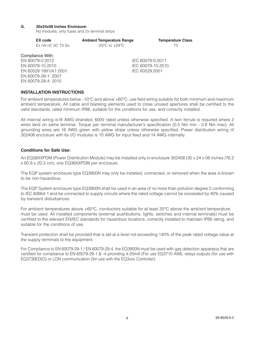#### **G. 30x24x08 Inches Enclosure:**

No modules, only fuses and 2x terminal strips

| EX code               | <b>Ambient Temperature Range</b>   | <b>Temperature Class</b> |
|-----------------------|------------------------------------|--------------------------|
| Ex nA nC IIC T3 Gc    | $-20^{\circ}$ C to $+59^{\circ}$ C | TЗ                       |
| Compliance With:      |                                    |                          |
| EN 60079-0:2012       |                                    | IEC 60079-0:2011         |
| EN 60079-15:2010      |                                    | IEC 60079-15:2010        |
| EN 60529:1991/A1:2001 |                                    | IEC 60529:2001           |
| EN 60079-29-1: 2007   |                                    |                          |

#### **INSTALLATION INSTRUCTIONS**

EN 60079-29-4: 2010

For ambient temperatures below –10°C and above +60°C, use field wiring suitable for both minimum and maximum ambient temperature. All cable and blanking elements used to close unused apertures shall be certified to the valid standards, rated minimum IP66, suitable for the conditions for use, and correctly installed.

All internal wiring is18 AWG stranded, 600V rated unless otherwise specified. A twin ferrule is required where 2 wires land on same terminal. Torque per terminal manufacturer's specification (0.5 Nm min - 0.8 Nm max). All grounding wires are 16 AWG green with yellow stripe unless otherwise specified. Power distribution wiring of 302408 enclosure with 6x I/O modules is 10 AWG for input feed and 14 AWG internally.

#### **Conditions for Safe Use:**

An EQ38XXPDM (Power Distribution Module) may be installed only in enclosure 302408 (30 x 24 x 08 inches /76.2 x 60.9 x 20.3 cm), one EQ38XXPDM per enclosure.

The EQP system enclosure type EQ3900N may only be installed, connected, or removed when the area is known to be non-hazardous.

The EQP System enclosure type EQ3900N shall be used in an area of no more than pollution degree 2 conforming to IEC 60664-1 and be connected to supply circuits where the rated voltage cannot be exceeded by 40% caused by transient disturbances.

For ambient temperatures above +60°C, conductors suitable for at least 20°C above the ambient temperature must be used. All installed components (external pushbuttons, lights, switches and internal terminals) must be certified to the relevant EN/IEC standards for hazardous locations, correctly installed to maintain IP66 rating, and suitable for the conditions of use.

Transient protection shall be provided that is set at a level not exceeding 140% of the peak rated voltage value at the supply terminals to the equipment.

For Compliance to EN 60079-29-1 / EN 60079-29-4, the EQ3900N must be used with gas detection apparatus that are certified for compliance to EN 60079-29-1 & -4 providing 4-20mA (For use EQ3710 AIM), relays outputs (for use with EQ3730EDIO) or LON communication (for use with the EQ3xxx Controller).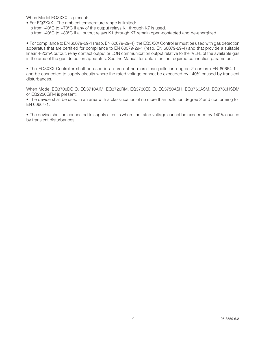When Model EQ3XXX is present:

• For EQ3XXX - The ambient temperature range is limited: o from -40°C to +70°C if any of the output relays K1 through K7 is used. o from -40°C to +80°C if all output relays K1 through K7 remain open-contacted and de-energized.

• For compliance to EN 60079-29-1 (resp. EN 60079-29-4), the EQ3XXX Controller must be used with gas detection apparatus that are certified for compliance to EN 60079-29-1 (resp. EN 60079-29-4) and that provide a suitable linear 4-20mA output, relay contact output or LON communication output relative to the %LFL of the available gas in the area of the gas detection apparatus. See the Manual for details on the required connection parameters.

• The EQ3XXX Controller shall be used in an area of no more than pollution degree 2 conform EN 60664-1, , and be connected to supply circuits where the rated voltage cannot be exceeded by 140% caused by transient disturbances.

When Model EQ3700DCIO, EQ3710AIM, EQ3720RM, EQ3730EDIO, EQ3750ASH, EQ3760ASM, EQ3780HSDM or EQ2220GFM is present:

• The device shall be used in an area with a classification of no more than pollution degree 2 and conforming to EN 60664-1,

• The device shall be connected to supply circuits where the rated voltage cannot be exceeded by 140% caused by transient disturbances.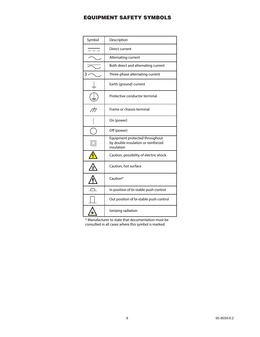# EQUIPMENT SAFETY SYMBOLS

| Symbol                   | Description                                                                        |
|--------------------------|------------------------------------------------------------------------------------|
|                          | Direct current                                                                     |
|                          | Alternating current                                                                |
|                          | Both direct and alternating current                                                |
| 3                        | Three-phase alternating current                                                    |
|                          | Earth (ground) current                                                             |
|                          | Protective conductor terminal                                                      |
| $\overline{\mathcal{A}}$ | Frame or chassis terminal                                                          |
|                          | On (power)                                                                         |
|                          | Off (power)                                                                        |
|                          | Equipment protected throughout<br>by double insulation or reinforced<br>insulation |
|                          | Caution, possibility of electric shock                                             |
|                          | Caution, hot surface                                                               |
|                          | Caution*                                                                           |
|                          | In position of bi-stable push control                                              |
|                          | Out position of bi-stable push control                                             |
|                          | lonizing radiation                                                                 |

\* Manufacturer to state that documentation must be consulted in all cases where this symbol is marked.